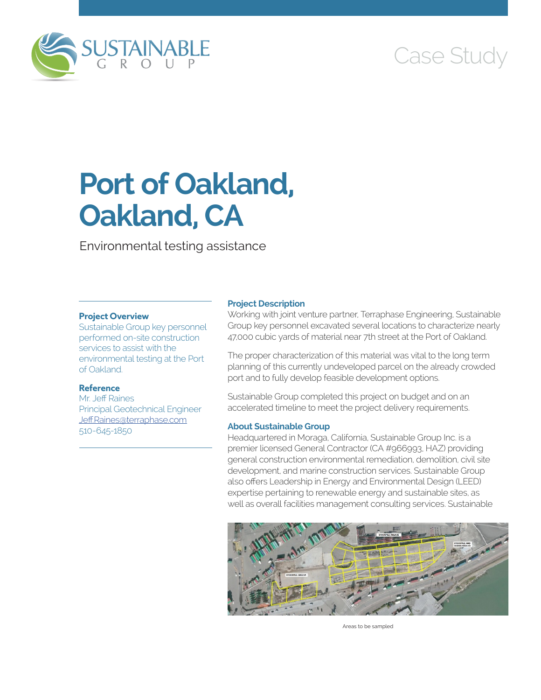

# Case Study

# **Port of Oakland, Oakland, CA**

Environmental testing assistance

## **Project Overview**

Sustainable Group key personnel performed on-site construction services to assist with the environmental testing at the Port of Oakland.

## **Reference**

Mr. Jeff Raines Principal Geotechnical Engineer [Jeff.Raines@terraphase.com](mailto:Jeff.Raines@terraphase.com) 510-645-1850

#### **Project Description**

Working with joint venture partner, Terraphase Engineering, Sustainable Group key personnel excavated several locations to characterize nearly 47,000 cubic yards of material near 7th street at the Port of Oakland.

The proper characterization of this material was vital to the long term planning of this currently undeveloped parcel on the already crowded port and to fully develop feasible development options.

Sustainable Group completed this project on budget and on an accelerated timeline to meet the project delivery requirements.

#### **About Sustainable Group**

Headquartered in Moraga, California, Sustainable Group Inc. is a premier licensed General Contractor (CA #966993, HAZ) providing general construction environmental remediation, demolition, civil site development, and marine construction services. Sustainable Group also offers Leadership in Energy and Environmental Design (LEED) expertise pertaining to renewable energy and sustainable sites, as well as overall facilities management consulting services. Sustainable



Areas to be sampled